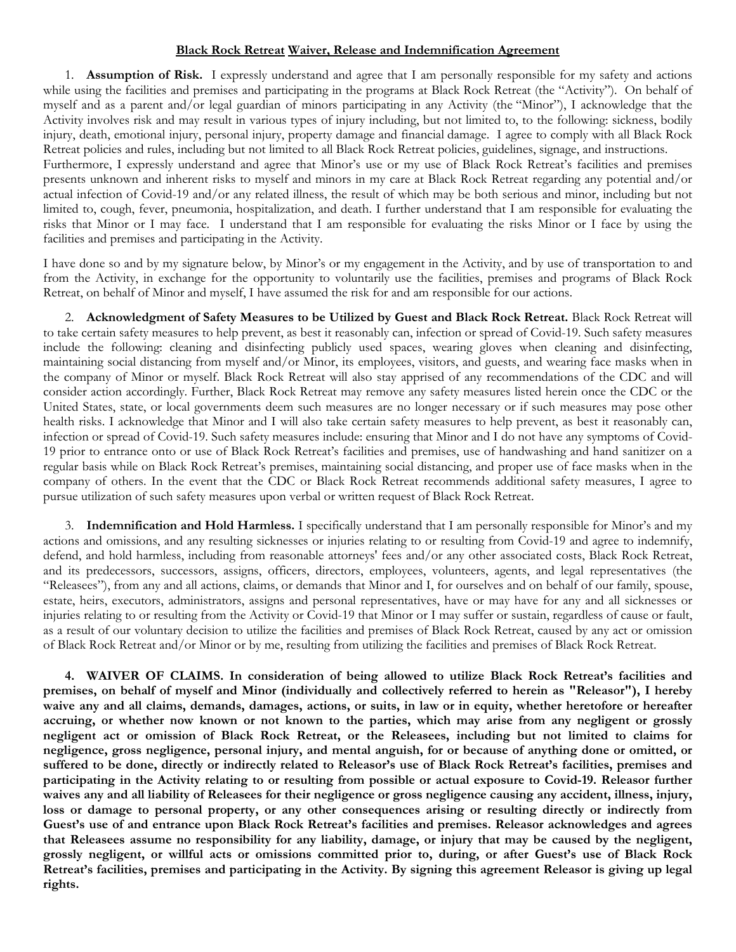## **Black Rock Retreat Waiver, Release and Indemnification Agreement**

1. **Assumption of Risk.** I expressly understand and agree that I am personally responsible for my safety and actions while using the facilities and premises and participating in the programs at Black Rock Retreat (the "Activity"). On behalf of myself and as a parent and/or legal guardian of minors participating in any Activity (the "Minor"), I acknowledge that the Activity involves risk and may result in various types of injury including, but not limited to, to the following: sickness, bodily injury, death, emotional injury, personal injury, property damage and financial damage. I agree to comply with all Black Rock Retreat policies and rules, including but not limited to all Black Rock Retreat policies, guidelines, signage, and instructions.

Furthermore, I expressly understand and agree that Minor's use or my use of Black Rock Retreat's facilities and premises presents unknown and inherent risks to myself and minors in my care at Black Rock Retreat regarding any potential and/or actual infection of Covid-19 and/or any related illness, the result of which may be both serious and minor, including but not limited to, cough, fever, pneumonia, hospitalization, and death. I further understand that I am responsible for evaluating the risks that Minor or I may face. I understand that I am responsible for evaluating the risks Minor or I face by using the facilities and premises and participating in the Activity.

I have done so and by my signature below, by Minor's or my engagement in the Activity, and by use of transportation to and from the Activity, in exchange for the opportunity to voluntarily use the facilities, premises and programs of Black Rock Retreat, on behalf of Minor and myself, I have assumed the risk for and am responsible for our actions.

2. **Acknowledgment of Safety Measures to be Utilized by Guest and Black Rock Retreat.** Black Rock Retreat will to take certain safety measures to help prevent, as best it reasonably can, infection or spread of Covid-19. Such safety measures include the following: cleaning and disinfecting publicly used spaces, wearing gloves when cleaning and disinfecting, maintaining social distancing from myself and/or Minor, its employees, visitors, and guests, and wearing face masks when in the company of Minor or myself. Black Rock Retreat will also stay apprised of any recommendations of the CDC and will consider action accordingly. Further, Black Rock Retreat may remove any safety measures listed herein once the CDC or the United States, state, or local governments deem such measures are no longer necessary or if such measures may pose other health risks. I acknowledge that Minor and I will also take certain safety measures to help prevent, as best it reasonably can, infection or spread of Covid-19. Such safety measures include: ensuring that Minor and I do not have any symptoms of Covid-19 prior to entrance onto or use of Black Rock Retreat's facilities and premises, use of handwashing and hand sanitizer on a regular basis while on Black Rock Retreat's premises, maintaining social distancing, and proper use of face masks when in the company of others. In the event that the CDC or Black Rock Retreat recommends additional safety measures, I agree to pursue utilization of such safety measures upon verbal or written request of Black Rock Retreat.

3. **Indemnification and Hold Harmless.** I specifically understand that I am personally responsible for Minor's and my actions and omissions, and any resulting sicknesses or injuries relating to or resulting from Covid-19 and agree to indemnify, defend, and hold harmless, including from reasonable attorneys' fees and/or any other associated costs, Black Rock Retreat, and its predecessors, successors, assigns, officers, directors, employees, volunteers, agents, and legal representatives (the "Releasees"), from any and all actions, claims, or demands that Minor and I, for ourselves and on behalf of our family, spouse, estate, heirs, executors, administrators, assigns and personal representatives, have or may have for any and all sicknesses or injuries relating to or resulting from the Activity or Covid-19 that Minor or I may suffer or sustain, regardless of cause or fault, as a result of our voluntary decision to utilize the facilities and premises of Black Rock Retreat, caused by any act or omission of Black Rock Retreat and/or Minor or by me, resulting from utilizing the facilities and premises of Black Rock Retreat.

**4. WAIVER OF CLAIMS. In consideration of being allowed to utilize Black Rock Retreat's facilities and premises, on behalf of myself and Minor (individually and collectively referred to herein as "Releasor"), I hereby waive any and all claims, demands, damages, actions, or suits, in law or in equity, whether heretofore or hereafter accruing, or whether now known or not known to the parties, which may arise from any negligent or grossly negligent act or omission of Black Rock Retreat, or the Releasees, including but not limited to claims for negligence, gross negligence, personal injury, and mental anguish, for or because of anything done or omitted, or suffered to be done, directly or indirectly related to Releasor's use of Black Rock Retreat's facilities, premises and participating in the Activity relating to or resulting from possible or actual exposure to Covid-19. Releasor further waives any and all liability of Releasees for their negligence or gross negligence causing any accident, illness, injury, loss or damage to personal property, or any other consequences arising or resulting directly or indirectly from Guest's use of and entrance upon Black Rock Retreat's facilities and premises. Releasor acknowledges and agrees that Releasees assume no responsibility for any liability, damage, or injury that may be caused by the negligent, grossly negligent, or willful acts or omissions committed prior to, during, or after Guest's use of Black Rock Retreat's facilities, premises and participating in the Activity. By signing this agreement Releasor is giving up legal rights.**